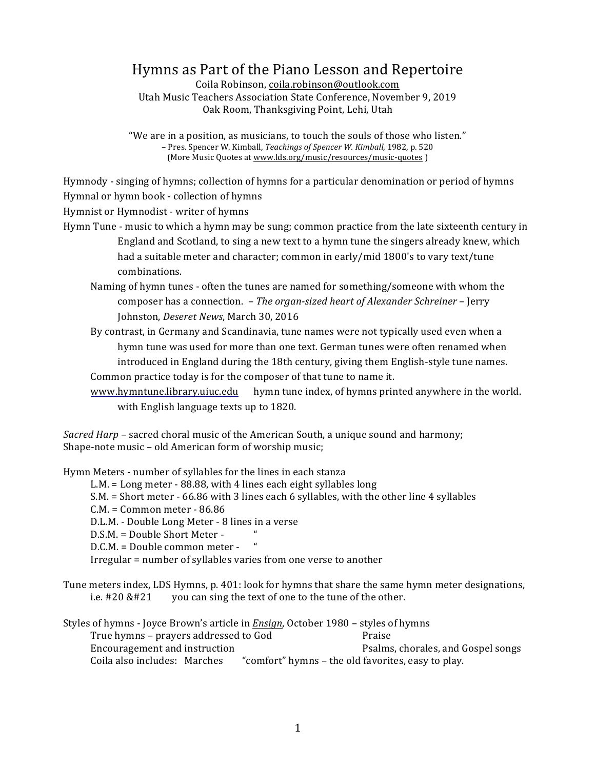# Hymns as Part of the Piano Lesson and Repertoire

Coila Robinson, coila.robinson@outlook.com Utah Music Teachers Association State Conference, November 9, 2019 Oak Room, Thanksgiving Point, Lehi, Utah

"We are in a position, as musicians, to touch the souls of those who listen." – Pres. Spencer W. Kimball, *Teachings of Spencer W. Kimball*, 1982, p. 520 (More Music Quotes at www.lds.org/music/resources/music-quotes)

Hymnody - singing of hymns; collection of hymns for a particular denomination or period of hymns

Hymnal or hymn book - collection of hymns

Hymnist or Hymnodist - writer of hymns

- Hymn Tune music to which a hymn may be sung; common practice from the late sixteenth century in England and Scotland, to sing a new text to a hymn tune the singers already knew, which had a suitable meter and character; common in early/mid 1800's to vary text/tune combinations.
	- Naming of hymn tunes often the tunes are named for something/someone with whom the composer has a connection. *– The organ-sized heart of Alexander Schreiner* – Jerry Johnston, *Deseret News*, March 30, 2016
	- By contrast, in Germany and Scandinavia, tune names were not typically used even when a hymn tune was used for more than one text. German tunes were often renamed when introduced in England during the 18th century, giving them English-style tune names. Common practice today is for the composer of that tune to name it.
	- www.hymntune.library.uiuc.edu hymn tune index, of hymns printed anywhere in the world. with English language texts up to 1820.

*Sacred Harp* – sacred choral music of the American South, a unique sound and harmony; Shape-note music - old American form of worship music;

Hymn Meters - number of syllables for the lines in each stanza

L.M. = Long meter  $-$  88.88, with 4 lines each eight syllables long

S.M. = Short meter - 66.86 with 3 lines each 6 syllables, with the other line 4 syllables

 $C.M. = Common meter - 86.86$ 

D.L.M. - Double Long Meter - 8 lines in a verse

 $D.S.M. = Double Short meter -$  "

 $D.C.M. = Double common meter -$ 

Irregular  $=$  number of syllables varies from one verse to another

Tune meters index, LDS Hymns, p. 401: look for hymns that share the same hymn meter designations, i.e.  $#20 \& #21$  you can sing the text of one to the tune of the other.

Styles of hymns - Joyce Brown's article in *Ensign*, October 1980 – styles of hymns True hymns – prayers addressed to God Praise Encouragement and instruction example and contact Psalms, chorales, and Gospel songs Coila also includes: Marches "comfort" hymns – the old favorites, easy to play.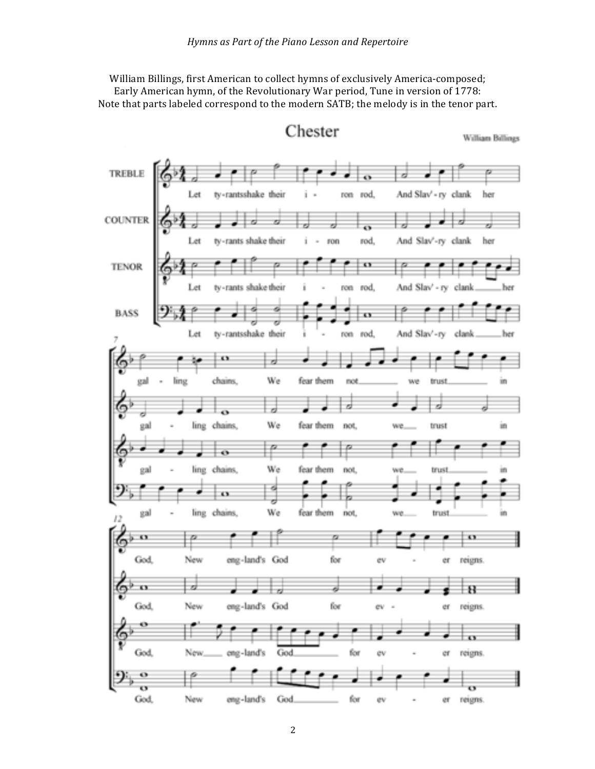William Billings, first American to collect hymns of exclusively America-composed; Early American hymn, of the Revolutionary War period, Tune in version of 1778: Note that parts labeled correspond to the modern SATB; the melody is in the tenor part.



Chester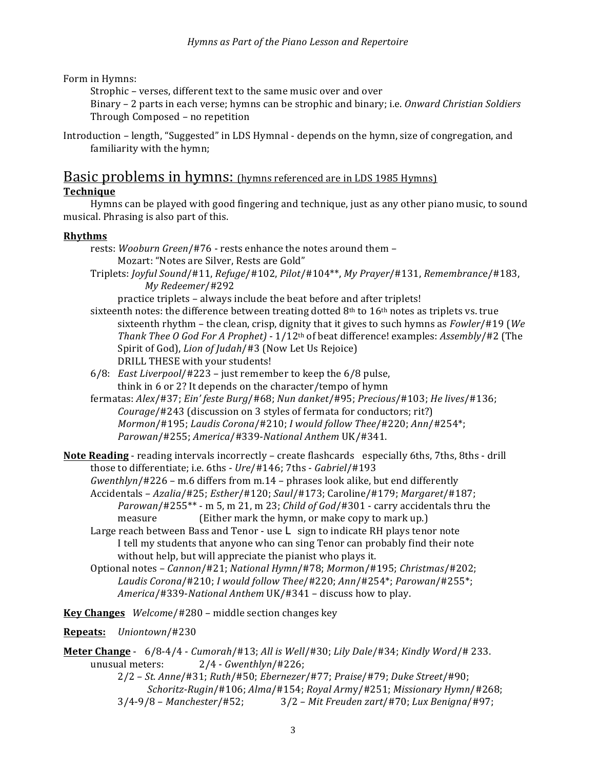Form in Hymns:

Strophic - verses, different text to the same music over and over

Binary – 2 parts in each verse; hymns can be strophic and binary; i.e. *Onward Christian Soldiers* Through Composed - no repetition

Introduction – length, "Suggested" in LDS Hymnal - depends on the hymn, size of congregation, and familiarity with the hymn;

# Basic problems in hymns: (hymns referenced are in LDS 1985 Hymns)

## **Technique**

Hymns can be played with good fingering and technique, just as any other piano music, to sound musical. Phrasing is also part of this.

### **Rhythms**

- rests: Wooburn Green/#76 rests enhance the notes around them -Mozart: "Notes are Silver, Rests are Gold"
- Triplets: *Joyful Sound*/#11, *Refuge*/#102, *Pilot*/#104\*\*, *My Prayer*/#131, *Remembranc*e/#183, *My Redeemer*/#292

practice triplets – always include the beat before and after triplets!

- sixteenth notes: the difference between treating dotted  $8<sup>th</sup>$  to  $16<sup>th</sup>$  notes as triplets vs. true sixteenth rhythm – the clean, crisp, dignity that it gives to such hymns as *Fowler*/#19 (*We Thank Thee O God For A Prophet*) - 1/12<sup>th</sup> of beat difference! examples: *Assembly*/#2 (The Spirit of God), *Lion of Judah*/#3 (Now Let Us Rejoice) DRILL THESE with your students!
- 6/8: *East Liverpool*/#223 just remember to keep the 6/8 pulse, think in 6 or 2? It depends on the character/tempo of hymn
- fermatas: *Alex*/#37; *Ein' feste Burg*/#68; *Nun danket*/#95; *Precious*/#103; *He lives*/#136; *Courage*/#243 (discussion on 3 styles of fermata for conductors; rit?) *Mormon*/#195; *Laudis Corona*/#210; *I* would follow Thee/#220; Ann/#254\*; *Parowan*/#255; *America*/#339-*National Anthem* UK/#341.

**Note Reading** - reading intervals incorrectly – create flashcards especially 6ths, 7ths, 8ths - drill those to differentiate; i.e. 6ths - *Ure*/#146; 7ths - *Gabriel*/#193

- *Gwenthlyn*/#226 m.6 differs from m.14 phrases look alike, but end differently
- Accidentals – *Azalia*/#25; *Esther*/#120; *Saul*/#173; Caroline/#179; *Margaret*/#187; *Parowan*/#255\*\* - m 5, m 21, m 23; *Child of God*/#301 - carry accidentals thru the measure (Either mark the hymn, or make copy to mark up.)
- Large reach between Bass and Tenor use  $L$  sign to indicate RH plays tenor note I tell my students that anyone who can sing Tenor can probably find their note without help, but will appreciate the pianist who plays it.
- Optional notes – *Cannon*/#21; *National Hymn*/#78; *Mormo*n/#195; *Christmas*/#202; Laudis Corona/#210; *I* would follow Thee/#220; Ann/#254\*; Parowan/#255\*; *America*/#339-*National Anthem* UK/#341 – discuss how to play.

**Key Changes** Welcome/#280 – middle section changes key

**Repeats:** *Uniontown*/#230

**Meter Change** - 6/8-4/4 - *Cumorah*/#13; *All is Well*/#30; *Lily Dale*/#34; *Kindly Word*/# 233. unusual meters: 2/4 - *Gwenthlyn*/#226; 

2/2 – *St. Anne*/#31; *Ruth*/#50; *Ebernezer*/#77; *Praise*/#79; *Duke Street*/#90; *Schoritz-Rugin*/#106; *Alma*/#154; *Royal Arm*y/#251; *Missionary Hymn*/#268; 3/4-9/8 – *Manchester*/#52; 3/2 – *Mit Freuden zart*/#70; *Lux Benigna*/#97;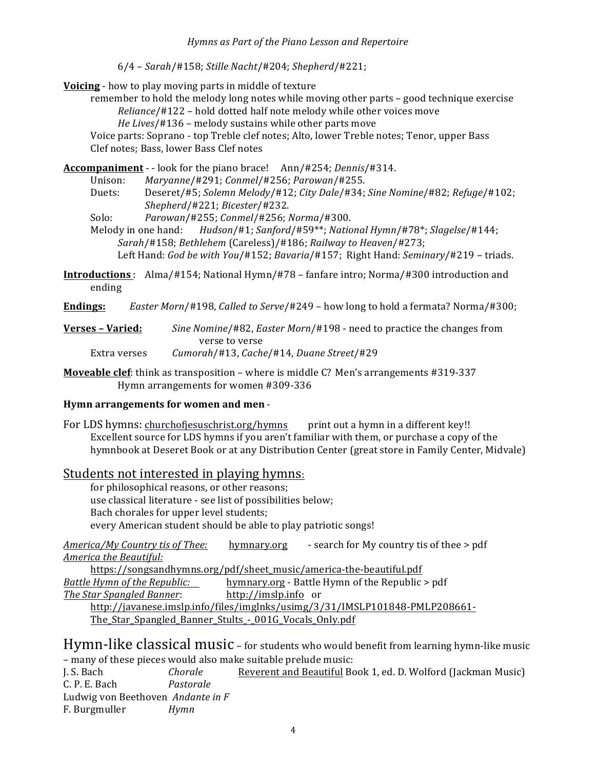6/4 – *Sarah*/#158; *Stille Nacht*/#204; *Shepherd*/#221;

**Voicing** - how to play moving parts in middle of texture

remember to hold the melody long notes while moving other parts – good technique exercise *Reliance*/#122 - hold dotted half note melody while other voices move *He Lives*/#136 - melody sustains while other parts move

Voice parts: Soprano - top Treble clef notes; Alto, lower Treble notes; Tenor, upper Bass Clef notes; Bass, lower Bass Clef notes

**Accompaniment** - - look for the piano brace! Ann/#254; *Dennis*/#314.

Unison: *Maryanne*/#291; *Conmel*/#256; *Parowan*/#255.

Duets: Deseret/#5; *Solemn Melody*/#12; *City Dale*/#34; *Sine Nomine*/#82; *Refuge*/#102; *Shepherd*/#221; *Bicester*/#232.

Solo: *Parowan*/#255; *Conmel*/#256; *Norma*/#300.

Melody in one hand: *Hudson/#1; Sanford/#59\*\*; National Hymn/#78\*; Slagelse/#144; Sarah*/#158; *Bethlehem* (Careless)/#186; *Railway to Heaven*/#273; Left Hand: God be with You/#152; *Bavaria*/#157; Right Hand: *Seminary*/#219 - triads.

**Introductions** : Alma/#154; National Hymn/#78 – fanfare intro; Norma/#300 introduction and

ending

**Endings:** *Easter Morn*/#198, *Called to Serve*/#249 – how long to hold a fermata? Norma/#300;

**Verses – Varied:** *Sine Nomine*/#82, *Easter Morn*/#198 - need to practice the changes from verse to verse Extra verses *Cumorah*/#13, *Cache*/#14, *Duane Street*/#29

**Moveable clef**: think as transposition – where is middle C? Men's arrangements #319-337 Hymn arrangements for women #309-336

## Hymn arrangements for women and men -

For LDS hymns: churchofjesuschrist.org/hymns print out a hymn in a different key!! Excellent source for LDS hymns if you aren't familiar with them, or purchase a copy of the hymnbook at Deseret Book or at any Distribution Center (great store in Family Center, Midvale)

# Students not interested in playing hymns.

for philosophical reasons, or other reasons; use classical literature - see list of possibilities below; Bach chorales for upper level students; every American student should be able to play patriotic songs!

*America/My Country tis of Thee:* hymnary.org - search for My country tis of thee > pdf *America the Beautiful:*

https://songsandhymns.org/pdf/sheet\_music/america-the-beautiful.pdf *Battle Hymn of the Republic:* hymnary.org - Battle Hymn of the Republic > pdf *The Star Spangled Banner*: http://imslp.info or http://javanese.imslp.info/files/imglnks/usimg/3/31/IMSLP101848-PMLP208661- The\_Star\_Spangled\_Banner\_Stults\_-\_001G\_Vocals\_Only.pdf

Hymn-like classical music – for students who would benefit from learning hymn-like music – many of these pieces would also make suitable prelude music:

J. S. Bach *Chorale* Reverent and Beautiful Book 1, ed. D. Wolford (Jackman Music) C. P. E. Bach *Pastorale* Ludwig von Beethoven Andante in F F. Burgmuller *Hymn*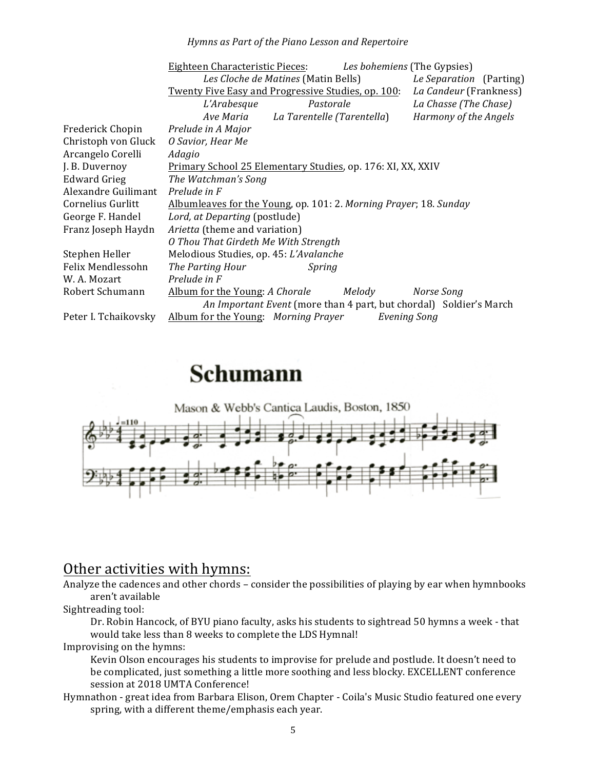#### *Hymns as Part of the Piano Lesson and Repertoire*

|                      | Les bohemiens (The Gypsies)<br>Eighteen Characteristic Pieces:               |
|----------------------|------------------------------------------------------------------------------|
|                      | Les Cloche de Matines (Matin Bells)<br>Le Separation (Parting)               |
|                      | La Candeur (Frankness)<br>Twenty Five Easy and Progressive Studies, op. 100: |
|                      | La Chasse (The Chase)<br>L'Arabesque<br>Pastorale                            |
|                      | Ave Maria La Tarentelle (Tarentella)<br>Harmony of the Angels                |
| Frederick Chopin     | Prelude in A Major                                                           |
| Christoph von Gluck  | O Savior, Hear Me                                                            |
| Arcangelo Corelli    | Adagio                                                                       |
| J. B. Duvernoy       | Primary School 25 Elementary Studies, op. 176: XI, XX, XXIV                  |
| <b>Edward Grieg</b>  | The Watchman's Song                                                          |
| Alexandre Guilimant  | Prelude in F                                                                 |
| Cornelius Gurlitt    | Albumleaves for the Young, op. 101: 2. Morning Prayer; 18. Sunday            |
| George F. Handel     | Lord, at Departing (postlude)                                                |
| Franz Joseph Haydn   | Arietta (theme and variation)                                                |
|                      | O Thou That Girdeth Me With Strength                                         |
| Stephen Heller       | Melodious Studies, op. 45: L'Avalanche                                       |
| Felix Mendlessohn    | The Parting Hour<br>Spring                                                   |
| W. A. Mozart         | Prelude in F                                                                 |
| Robert Schumann      | Album for the Young: A Chorale<br>Melody<br>Norse Song                       |
|                      | An Important Event (more than 4 part, but chordal) Soldier's March           |
| Peter I. Tchaikovsky | Album for the Young: Morning Prayer<br><b>Evening Song</b>                   |

# **Schumann**



# Other activities with hymns:

Analyze the cadences and other chords – consider the possibilities of playing by ear when hymnbooks aren't available

Sightreading tool:

Dr. Robin Hancock, of BYU piano faculty, asks his students to sightread 50 hymns a week - that would take less than 8 weeks to complete the LDS Hymnal!

Improvising on the hymns:

Kevin Olson encourages his students to improvise for prelude and postlude. It doesn't need to be complicated, just something a little more soothing and less blocky. EXCELLENT conference session at 2018 UMTA Conference!

Hymnathon - great idea from Barbara Elison, Orem Chapter - Coila's Music Studio featured one every spring, with a different theme/emphasis each year.